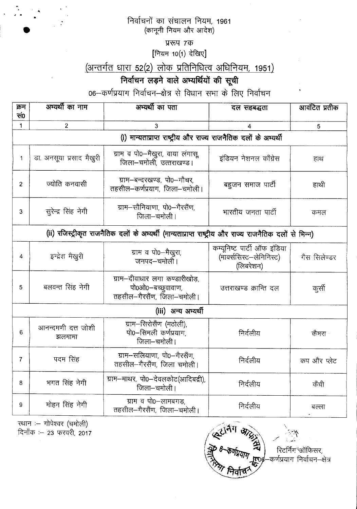निर्वाचनों का संचालन नियम, 1961 (कानूनी नियम और आदेश)

प्ररूप 7क

[नियम 10(1) देखिए]

## (अन्तर्गत धारा 52(2) लोक प्रतिनिधित्व अधिनियम, 1951)

## निर्वाचन लड़ने वाले अभ्यर्थियों की सूची

06-कर्णप्रयाग निर्वाचन-क्षेत्र से विधान सभा के लिए निर्वाचन

| क्रम                                                                                                   | अभ्यर्थी का नाम              | अभ्यर्थी का पता                                                                   | दल सहबद्धता                                                          | आवंटित प्रतीक |  |  |
|--------------------------------------------------------------------------------------------------------|------------------------------|-----------------------------------------------------------------------------------|----------------------------------------------------------------------|---------------|--|--|
| सं0                                                                                                    |                              |                                                                                   |                                                                      |               |  |  |
| 1                                                                                                      | $\overline{2}$               | 3                                                                                 | 4                                                                    | 5             |  |  |
| (i) मान्यताप्राप्त राष्ट्रीय और राज्य राजनैतिक दलों के अभ्यर्थी                                        |                              |                                                                                   |                                                                      |               |  |  |
| 1                                                                                                      | डा. अनसूया प्रसाद मैखुरी     | ग्राम व पो0-मैखुरा, वाया लंगासू,<br>जिला-चमोली, उत्तराखण्ड।                       | इंडियन नेशनल काँग्रेस                                                | हाथ           |  |  |
| $\overline{2}$                                                                                         | ज्योति कनवासी                | ग्राम–बन्दरखण्ड, पो0–गौचर,<br>तहसील–कर्णप्रयाग, जिला–चमोली।                       | बहुजन समाज पार्टी                                                    | हाथी          |  |  |
| 3                                                                                                      | सुरेन्द्र सिंह नेगी          | ग्राम-सौनियाणा, पो0-गैरसैंण,<br>जिला-चमोली।                                       | भारतीय जनता पार्टी                                                   | कमल           |  |  |
| (ii) रजिस्ट्रीकृत राजनैतिक दलों के अभ्यर्थी (मान्यताप्राप्त राष्ट्रीय और राज्य राजनैतिक दलों से भिन्न) |                              |                                                                                   |                                                                      |               |  |  |
| 4                                                                                                      | इन्द्रेश मैखुरी              | ग्राम व पो0—मैखुरा,<br>जनपद-चमोली।                                                | कम्यूनिष्ट पार्टी ऑफ इंडिया<br>(मार्क्ससिस्ट-लेनिनिस्ट)<br>(लिबरेशन) | गैस सिलेण्डर  |  |  |
| 5                                                                                                      | बलवन्त सिंह नेगी             | ग्राम-दीवाधार लगा कण्डारीखोड़,<br>पो0ओ0-बच्छुवावाण,<br>तहसील-गैरसैंण, जिला-चमोली। | उत्तराखण्ड क्रान्ति दल                                               | कुर्सी        |  |  |
| (iii) अन्य अम्यर्थी                                                                                    |                              |                                                                                   |                                                                      |               |  |  |
| 6                                                                                                      | आनन्दमणी दत्त जोशी<br>झलमामा | ग्राम-सिरोसैंण (मठोली),<br>पो0-सिमली कर्णप्रयाग<br>जिला-चमोली।                    | निर्दलीय                                                             | कैमरा         |  |  |
| $\overline{7}$                                                                                         | पदम सिंह                     | ग्राम-सलियाणा, पो0-गैरसैंण,<br>तहसील-गैरसैंण, जिला चमोली।                         | निर्दलीय                                                             | कप और प्लेट   |  |  |
| 8                                                                                                      | भगत सिंह नेगी                | ग्राम-माथर, पो0-देवलकोट(आदिबद्री),<br>जिला-चमोली।                                 | निर्दलीय                                                             | केंची         |  |  |
| 9                                                                                                      | मोहन सिंह नेगी               | ग्राम व पो0-लामबगड़,<br>तहसील-गैरसैंण, जिला-चमोली।                                | निर्दलीय                                                             | बल्ला         |  |  |

रथान :— गोपेश्वर (चमोली)<br>दिनाँक :— 23 फरवरी, 2017